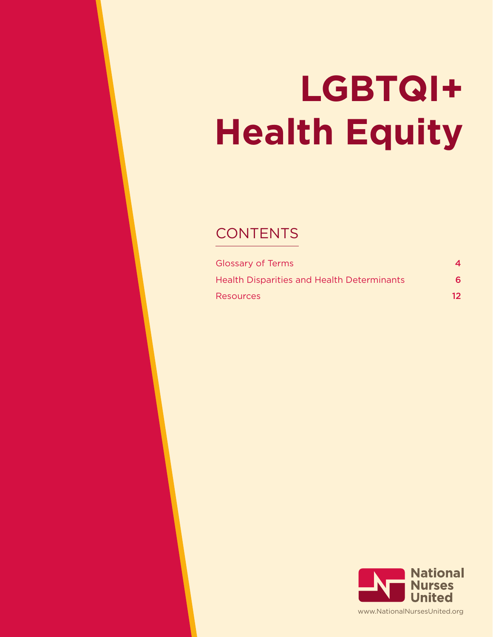# **LGBTQI+ Health Equity**

# **CONTENTS**

| <b>Glossary of Terms</b>                          | 4  |
|---------------------------------------------------|----|
| <b>Health Disparities and Health Determinants</b> | 6  |
| <b>Resources</b>                                  | 12 |

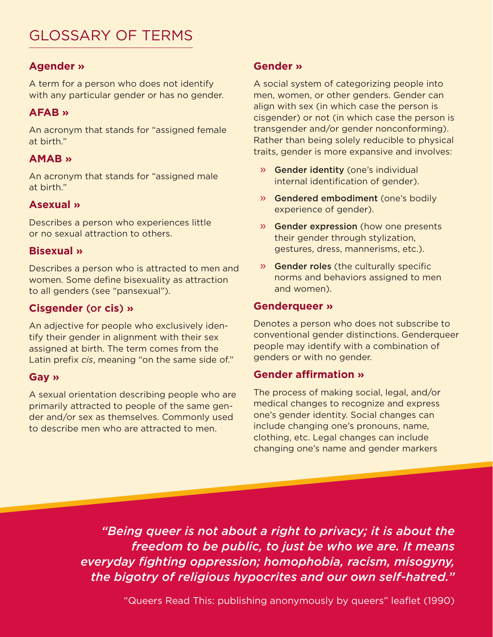# GLOSSARY OF TERMS

# **Agender »**

A term for a person who does not identify with any particular gender or has no gender.

# **AFAB »**

An acronym that stands for "assigned female at birth."

# **AMAB »**

An acronym that stands for "assigned male at birth."

# **Asexual »**

Describes a person who experiences little or no sexual attraction to others.

#### **Bisexual »**

Describes a person who is attracted to men and women. Some define bisexuality as attraction to all genders (see "pansexual").

# **Cisgender** (or **cis**) **»**

An adjective for people who exclusively identify their gender in alignment with their sex assigned at birth. The term comes from the Latin prefix *cis*, meaning "on the same side of."

#### **Gay »**

A sexual orientation describing people who are primarily attracted to people of the same gender and/or sex as themselves. Commonly used to describe men who are attracted to men.

# **Gender »**

A social system of categorizing people into men, women, or other genders. Gender can align with sex (in which case the person is cisgender) or not (in which case the person is transgender and/or gender nonconforming). Rather than being solely reducible to physical traits, gender is more expansive and involves:

- » Gender identity (one's individual internal identification of gender).
- » Gendered embodiment (one's bodily experience of gender).
- » Gender expression (how one presents their gender through stylization, gestures, dress, mannerisms, etc.).
- » Gender roles (the culturally specific norms and behaviors assigned to men and women).

#### **Genderqueer »**

Denotes a person who does not subscribe to conventional gender distinctions. Genderqueer people may identify with a combination of genders or with no gender.

#### **Gender affirmation »**

The process of making social, legal, and/or medical changes to recognize and express one's gender identity. Social changes can include changing one's pronouns, name, clothing, etc. Legal changes can include changing one's name and gender markers

*"Being queer is not about a right to privacy; it is about the freedom to be public, to just be who we are. It means everyday fighting oppression; homophobia, racism, misogyny, the bigotry of religious hypocrites and our own self-hatred."*

"Queers Read This: publishing anonymously by queers" leaflet (1990)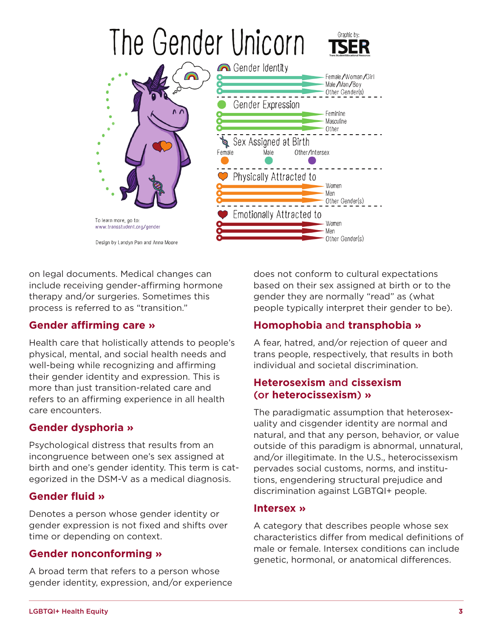

on legal documents. Medical changes can include receiving gender-affirming hormone therapy and/or surgeries. Sometimes this process is referred to as "transition."

# **Gender affirming care »**

Health care that holistically attends to people's physical, mental, and social health needs and well-being while recognizing and affirming their gender identity and expression. This is more than just transition-related care and refers to an affirming experience in all health care encounters.

# **Gender dysphoria »**

Psychological distress that results from an incongruence between one's sex assigned at birth and one's gender identity. This term is categorized in the DSM-V as a medical diagnosis.

# **Gender fluid »**

Denotes a person whose gender identity or gender expression is not fixed and shifts over time or depending on context.

# **Gender nonconforming »**

A broad term that refers to a person whose gender identity, expression, and/or experience does not conform to cultural expectations based on their sex assigned at birth or to the gender they are normally "read" as (what people typically interpret their gender to be).

# **Homophobia** and **transphobia »**

A fear, hatred, and/or rejection of queer and trans people, respectively, that results in both individual and societal discrimination.

#### **Heterosexism** and **cissexism** (or **heterocissexism**) **»**

The paradigmatic assumption that heterosexuality and cisgender identity are normal and natural, and that any person, behavior, or value outside of this paradigm is abnormal, unnatural, and/or illegitimate. In the U.S., heterocissexism pervades social customs, norms, and institutions, engendering structural prejudice and discrimination against LGBTQI+ people.

#### **Intersex »**

A category that describes people whose sex characteristics differ from medical definitions of male or female. Intersex conditions can include genetic, hormonal, or anatomical differences.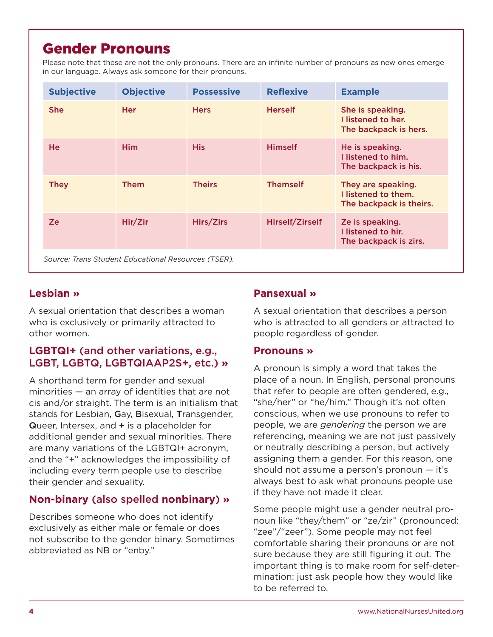# <span id="page-3-0"></span>Gender Pronouns

Please note that these are not the only pronouns. There are an infinite number of pronouns as new ones emerge in our language. Always ask someone for their pronouns.

| <b>Subjective</b>                                   | <b>Objective</b> | <b>Possessive</b> | <b>Reflexive</b> | <b>Example</b>                                                       |  |
|-----------------------------------------------------|------------------|-------------------|------------------|----------------------------------------------------------------------|--|
| <b>She</b>                                          | <b>Her</b>       | <b>Hers</b>       | <b>Herself</b>   | She is speaking.<br>I listened to her.<br>The backpack is hers.      |  |
| <b>He</b>                                           | <b>Him</b>       | <b>His</b>        | <b>Himself</b>   | He is speaking.<br>I listened to him.<br>The backpack is his.        |  |
| <b>They</b>                                         | <b>Them</b>      | <b>Theirs</b>     | <b>Themself</b>  | They are speaking.<br>I listened to them.<br>The backpack is theirs. |  |
| Ze                                                  | Hir/Zir          | Hirs/Zirs         | Hirself/Zirself  | Ze is speaking.<br>I listened to hir.<br>The backpack is zirs.       |  |
| Source: Trans Student Educational Resources (TSER). |                  |                   |                  |                                                                      |  |

# **Lesbian »**

A sexual orientation that describes a woman who is exclusively or primarily attracted to other women.

# **LGBTQI+** (and other variations, e.g., LGBT, LGBTQ, LGBTQIAAP2S+, etc.) **»**

A shorthand term for gender and sexual minorities — an array of identities that are not cis and/or straight. The term is an initialism that stands for Lesbian, Gay, Bisexual, Transgender, Queer, Intersex, and  $+$  is a placeholder for additional gender and sexual minorities. There are many variations of the LGBTQI+ acronym, and the "+" acknowledges the impossibility of including every term people use to describe their gender and sexuality.

# **Non-binary** (also spelled **nonbinary**) **»**

Describes someone who does not identify exclusively as either male or female or does not subscribe to the gender binary. Sometimes abbreviated as NB or "enby."

# **Pansexual »**

A sexual orientation that describes a person who is attracted to all genders or attracted to people regardless of gender.

#### **Pronouns »**

A pronoun is simply a word that takes the place of a noun. In English, personal pronouns that refer to people are often gendered, e.g., "she/her" or "he/him." Though it's not often conscious, when we use pronouns to refer to people, we are *gendering* the person we are referencing, meaning we are not just passively or neutrally describing a person, but actively assigning them a gender. For this reason, one should not assume a person's pronoun — it's always best to ask what pronouns people use if they have not made it clear.

Some people might use a gender neutral pronoun like "they/them" or "ze/zir" (pronounced: "zee"/"zeer"). Some people may not feel comfortable sharing their pronouns or are not sure because they are still figuring it out. The important thing is to make room for self-determination: just ask people how they would like to be referred to.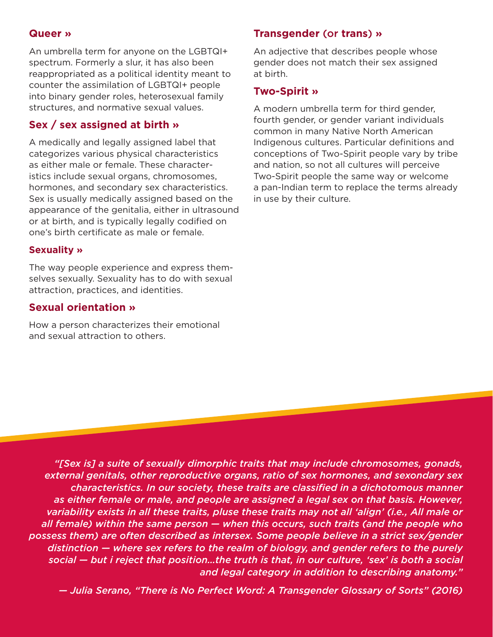#### **Queer »**

An umbrella term for anyone on the LGBTQI+ spectrum. Formerly a slur, it has also been reappropriated as a political identity meant to counter the assimilation of LGBTQI+ people into binary gender roles, heterosexual family structures, and normative sexual values.

#### **Sex / sex assigned at birth »**

A medically and legally assigned label that categorizes various physical characteristics as either male or female. These characteristics include sexual organs, chromosomes, hormones, and secondary sex characteristics. Sex is usually medically assigned based on the appearance of the genitalia, either in ultrasound or at birth, and is typically legally codified on one's birth certificate as male or female.

#### **Sexuality »**

The way people experience and express themselves sexually. Sexuality has to do with sexual attraction, practices, and identities.

## **Sexual orientation »**

How a person characterizes their emotional and sexual attraction to others.

#### **Transgender** (or **trans**) **»**

An adjective that describes people whose gender does not match their sex assigned at birth.

#### **Two-Spirit »**

A modern umbrella term for third gender, fourth gender, or gender variant individuals common in many Native North American Indigenous cultures. Particular definitions and conceptions of Two-Spirit people vary by tribe and nation, so not all cultures will perceive Two-Spirit people the same way or welcome a pan-Indian term to replace the terms already in use by their culture.

*"[Sex is] a suite of sexually dimorphic traits that may include chromosomes, gonads, external genitals, other reproductive organs, ratio of sex hormones, and sexondary sex characteristics. In our society, these traits are classified in a dichotomous manner as either female or male, and people are assigned a legal sex on that basis. However, variability exists in all these traits, pluse these traits may not all 'align' (i.e., All male or all female) within the same person — when this occurs, such traits (and the people who possess them) are often described as intersex. Some people believe in a strict sex/gender distinction — where sex refers to the realm of biology, and gender refers to the purely social — but i reject that position…the truth is that, in our culture, 'sex' is both a social and legal category in addition to describing anatomy."*

*— Julia Serano, "There is No Perfect Word: A Transgender Glossary of Sorts" (2016)*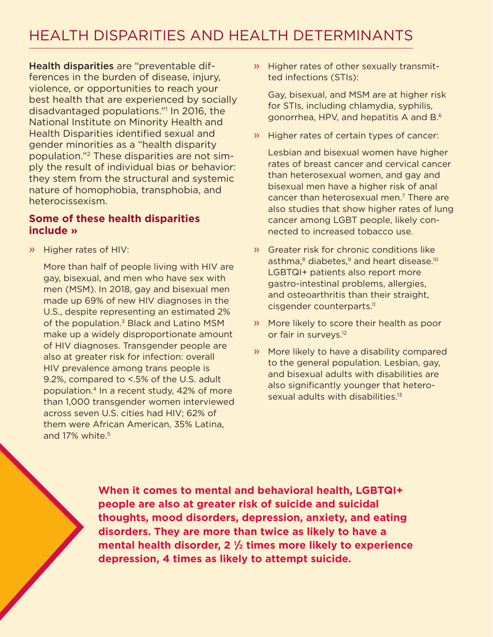<span id="page-5-0"></span>Health disparities are "preventable differences in the burden of disease, injury, violence, or opportunities to reach your best health that are experienced by socially disadvantaged populations."[1](#page-14-0) In 2016, the National Institute on Minority Health and Health Disparities identified sexual and gender minorities as a "health disparity population.["2](#page-14-0) These disparities are not simply the result of individual bias or behavior: they stem from the structural and systemic nature of homophobia, transphobia, and heterocissexism.

#### **Some of these health disparities include »**

» Higher rates of HIV:

More than half of people living with HIV are gay, bisexual, and men who have sex with men (MSM). In 2018, gay and bisexual men made up 69% of new HIV diagnoses in the U.S., despite representing an estimated 2% of the population.<sup>3</sup> Black and Latino MSM make up a widely disproportionate amount of HIV diagnoses. Transgender people are also at greater risk for infection: overall HIV prevalence among trans people is 9.2%, compared to <.5% of the U.S. adult population.[4](#page-14-0) In a recent study, 42% of more than 1,000 transgender women interviewed across seven U.S. cities had HIV; 62% of them were African American, 35% Latina, and 17% white.<sup>5</sup>

» Higher rates of other sexually transmitted infections (STIs):

Gay, bisexual, and MSM are at higher risk for STIs, including chlamydia, syphilis, gonorrhea, HPV, and hepatitis A and B.[6](#page-14-0)

» Higher rates of certain types of cancer:

Lesbian and bisexual women have higher rates of breast cancer and cervical cancer than heterosexual women, and gay and bisexual men have a higher risk of anal cancer than heterosexual men.<sup>7</sup> There are also studies that show higher rates of lung cancer among LGBT people, likely connected to increased tobacco use.

- » Greater risk for chronic conditions like asthma,<sup>8</sup> diabetes,<sup>9</sup> and heart disease.<sup>10</sup> LGBTQI+ patients also report more gastro-intestinal problems, allergies, and osteoarthritis than their straight, cisgender counterparts.<sup>11</sup>
- » More likely to score their health as poor or fair in surveys.<sup>12</sup>
- » More likely to have a disability compared to the general population. Lesbian, gay, and bisexual adults with disabilities are also significantly younger that heterosexual adults with disabilities.<sup>13</sup>

**When it comes to mental and behavioral health, LGBTQI+ people are also at greater risk of suicide and suicidal thoughts, mood disorders, depression, anxiety, and eating disorders. They are more than twice as likely to have a mental health disorder, 2 1/2 times more likely to experience depression, 4 times as likely to attempt suicide.**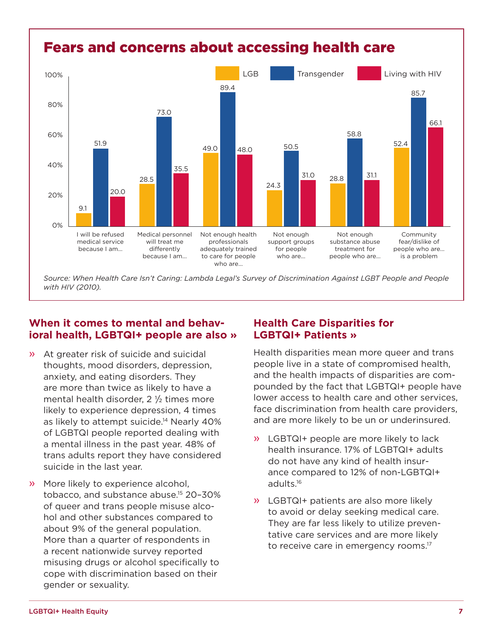<span id="page-6-0"></span>

Source: When Health Care Isn't Caring: Lambda Legal's Survey of Discrimination Against LGBT People and People *with HIV (2010).*

# **When it comes to mental and behavioral health, LGBTQI+ people are also »**

- » At greater risk of suicide and suicidal thoughts, mood disorders, depression, anxiety, and eating disorders. They are more than twice as likely to have a mental health disorder,  $2 \frac{1}{2}$  times more likely to experience depression, 4 times as likely to attempt suicide.<sup>14</sup> Nearly 40% of LGBTQI people reported dealing with a mental illness in the past year. 48% of trans adults report they have considered suicide in the last year.
- » More likely to experience alcohol, tobacco, and substance abuse[.15](#page-14-0) 20–30% of queer and trans people misuse alcohol and other substances compared to about 9% of the general population. More than a quarter of respondents in a recent nationwide survey reported misusing drugs or alcohol specifically to cope with discrimination based on their gender or sexuality.

# **Health Care Disparities for LGBTQI+ Patients »**

Health disparities mean more queer and trans people live in a state of compromised health, and the health impacts of disparities are compounded by the fact that LGBTQI+ people have lower access to health care and other services, face discrimination from health care providers, and are more likely to be un or underinsured.

- » LGBTQI+ people are more likely to lack health insurance. 17% of LGBTQI+ adults do not have any kind of health insurance compared to 12% of non-LGBTQI+ adults[.16](#page-14-0)
- » LGBTQI+ patients are also more likely to avoid or delay seeking medical care. They are far less likely to utilize preventative care services and are more likely to receive care in emergency rooms.<sup>17</sup>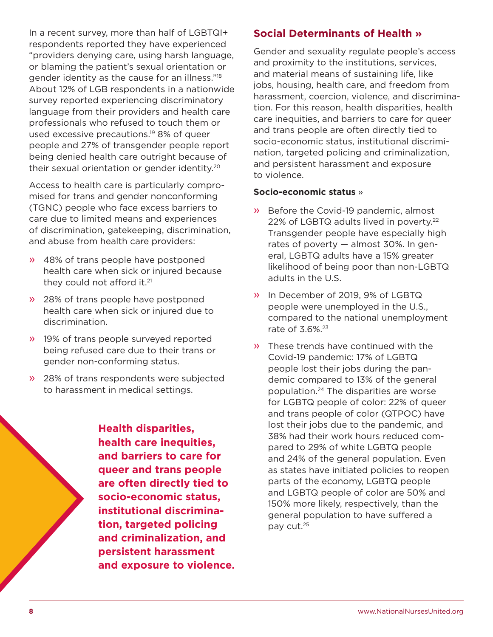<span id="page-7-0"></span>In a recent survey, more than half of LGBTQI+ respondents reported they have experienced "providers denying care, using harsh language, or blaming the patient's sexual orientation or gender identity as the cause for an illness.["18](#page-15-0) About 12% of LGB respondents in a nationwide survey reported experiencing discriminatory language from their providers and health care professionals who refused to touch them or used excessive precautions[.19](#page-15-0) 8% of queer people and 27% of transgender people report being denied health care outright because of their sexual orientation or gender identity[.20](#page-15-0)

Access to health care is particularly compromised for trans and gender nonconforming (TGNC) people who face excess barriers to care due to limited means and experiences of discrimination, gatekeeping, discrimination, and abuse from health care providers:

- » 48% of trans people have postponed health care when sick or injured because they could not afford it.<sup>[21](#page-15-0)</sup>
- » 28% of trans people have postponed health care when sick or injured due to discrimination.
- » 19% of trans people surveyed reported being refused care due to their trans or gender non-conforming status.
- » 28% of trans respondents were subjected to harassment in medical settings.

**Health disparities, health care inequities, and barriers to care for queer and trans people are often directly tied to socio-economic status, institutional discrimination, targeted policing and criminalization, and persistent harassment and exposure to violence.**

# **Social Determinants of Health »**

Gender and sexuality regulate people's access and proximity to the institutions, services, and material means of sustaining life, like jobs, housing, health care, and freedom from harassment, coercion, violence, and discrimination. For this reason, health disparities, health care inequities, and barriers to care for queer and trans people are often directly tied to socio-economic status, institutional discrimination, targeted policing and criminalization, and persistent harassment and exposure to violence.

#### **Socio-economic status** »

- » Before the Covid-19 pandemic, almost [22](#page-15-0)% of LGBTQ adults lived in poverty.<sup>22</sup> Transgender people have especially high rates of poverty — almost 30%. In general, LGBTQ adults have a 15% greater likelihood of being poor than non-LGBTQ adults in the U.S.
- » In December of 2019, 9% of LGBTQ people were unemployed in the U.S., compared to the national unemployment rate of 3.6%[.23](#page-15-0)
- » These trends have continued with the Covid-19 pandemic: 17% of LGBTQ people lost their jobs during the pandemic compared to 13% of the general population.[24](#page-15-0) The disparities are worse for LGBTQ people of color: 22% of queer and trans people of color (QTPOC) have lost their jobs due to the pandemic, and 38% had their work hours reduced compared to 29% of white LGBTQ people and 24% of the general population. Even as states have initiated policies to reopen parts of the economy, LGBTQ people and LGBTQ people of color are 50% and 150% more likely, respectively, than the general population to have suffered a pay cut[.25](#page-15-0)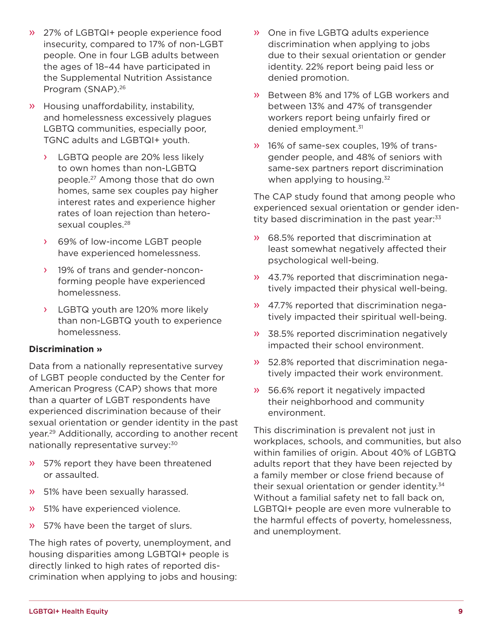- <span id="page-8-0"></span>» 27% of LGBTQI+ people experience food insecurity, compared to 17% of non-LGBT people. One in four LGB adults between the ages of 18–44 have participated in the Supplemental Nutrition Assistance Program (SNAP).<sup>26</sup>
- » Housing unaffordability, instability, and homelessness excessively plagues LGBTQ communities, especially poor, TGNC adults and LGBTQI+ youth.
	- › LGBTQ people are 20% less likely to own homes than non-LGBTQ people[.27](#page-15-0) Among those that do own homes, same sex couples pay higher interest rates and experience higher rates of loan rejection than heterosexual couples.<sup>28</sup>
	- › 69% of low-income LGBT people have experienced homelessness.
	- › 19% of trans and gender-nonconforming people have experienced homelessness.
	- LGBTQ youth are 120% more likely than non-LGBTQ youth to experience homelessness.

#### **Discrimination »**

Data from a nationally representative survey of LGBT people conducted by the Center for American Progress (CAP) shows that more than a quarter of LGBT respondents have experienced discrimination because of their sexual orientation or gender identity in the past year[.29](#page-15-0) Additionally, according to another recent nationally representative survey:<sup>30</sup>

- » 57% report they have been threatened or assaulted.
- » 51% have been sexually harassed.
- » 51% have experienced violence.
- » 57% have been the target of slurs.

The high rates of poverty, unemployment, and housing disparities among LGBTQI+ people is directly linked to high rates of reported discrimination when applying to jobs and housing:

- » One in five LGBTQ adults experience discrimination when applying to jobs due to their sexual orientation or gender identity. 22% report being paid less or denied promotion.
- » Between 8% and 17% of LGB workers and between 13% and 47% of transgender workers report being unfairly fired or denied employment.[31](#page-15-0)
- » 16% of same-sex couples, 19% of transgender people, and 48% of seniors with same-sex partners report discrimination when applying to housing. $32$

The CAP study found that among people who experienced sexual orientation or gender identity based discrimination in the past year:<sup>33</sup>

- » 68.5% reported that discrimination at least somewhat negatively affected their psychological well-being.
- » 43.7% reported that discrimination negatively impacted their physical well-being.
- » 47.7% reported that discrimination negatively impacted their spiritual well-being.
- » 38.5% reported discrimination negatively impacted their school environment.
- » 52.8% reported that discrimination negatively impacted their work environment.
- » 56.6% report it negatively impacted their neighborhood and community environment.

This discrimination is prevalent not just in workplaces, schools, and communities, but also within families of origin. About 40% of LGBTQ adults report that they have been rejected by a family member or close friend because of their sexual orientation or gender identity.<sup>34</sup> Without a familial safety net to fall back on, LGBTQI+ people are even more vulnerable to the harmful effects of poverty, homelessness, and unemployment.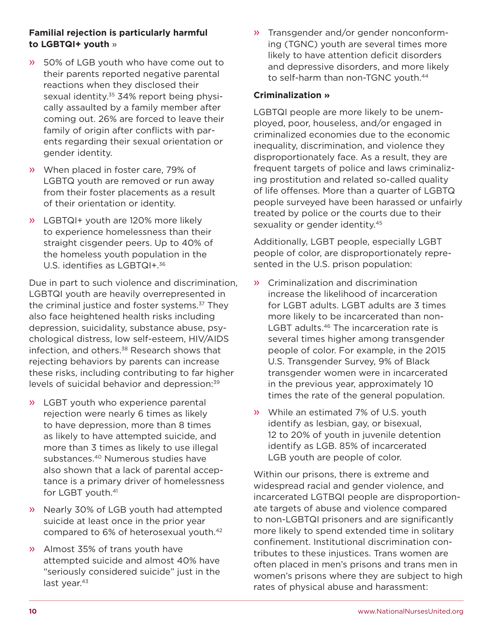#### <span id="page-9-0"></span>**Familial rejection is particularly harmful to LGBTQI+ youth** »

- » 50% of LGB youth who have come out to their parents reported negative parental reactions when they disclosed their sexual identity.<sup>35</sup> 34% report being physically assaulted by a family member after coming out. 26% are forced to leave their family of origin after conflicts with parents regarding their sexual orientation or gender identity.
- » When placed in foster care, 79% of LGBTQ youth are removed or run away from their foster placements as a result of their orientation or identity.
- » LGBTQI+ youth are 120% more likely to experience homelessness than their straight cisgender peers. Up to 40% of the homeless youth population in the U.S. identifies as LGBTQI+.<sup>[36](#page-16-0)</sup>

Due in part to such violence and discrimination, LGBTQI youth are heavily overrepresented in the criminal justice and foster systems.[37](#page-16-0) They also face heightened health risks including depression, suicidality, substance abuse, psychological distress, low self-esteem, HIV/AIDS infection, and others.<sup>38</sup> Research shows that rejecting behaviors by parents can increase these risks, including contributing to far higher levels of suicidal behavior and depression[:39](#page-16-0)

- » LGBT youth who experience parental rejection were nearly 6 times as likely to have depression, more than 8 times as likely to have attempted suicide, and more than 3 times as likely to use illegal substances.<sup>40</sup> Numerous studies have also shown that a lack of parental acceptance is a primary driver of homelessness for LGBT youth.<sup>[41](#page-16-0)</sup>
- » Nearly 30% of LGB youth had attempted suicide at least once in the prior year compared to 6% of heterosexual youth[.42](#page-16-0)
- » Almost 35% of trans youth have attempted suicide and almost 40% have "seriously considered suicide" just in the last year.<sup>[43](#page-16-0)</sup>

» Transgender and/or gender nonconforming (TGNC) youth are several times more likely to have attention deficit disorders and depressive disorders, and more likely to self-harm than non-TGNC youth.<sup>[44](#page-16-0)</sup>

#### **Criminalization »**

LGBTQI people are more likely to be unemployed, poor, houseless, and/or engaged in criminalized economies due to the economic inequality, discrimination, and violence they disproportionately face. As a result, they are frequent targets of police and laws criminalizing prostitution and related so-called quality of life offenses. More than a quarter of LGBTQ people surveyed have been harassed or unfairly treated by police or the courts due to their sexuality or gender identity.<sup>[45](#page-16-0)</sup>

Additionally, LGBT people, especially LGBT people of color, are disproportionately represented in the U.S. prison population:

- » Criminalization and discrimination increase the likelihood of incarceration for LGBT adults. LGBT adults are 3 times more likely to be incarcerated than non-LGBT adults.<sup>46</sup> The incarceration rate is several times higher among transgender people of color. For example, in the 2015 U.S. Transgender Survey, 9% of Black transgender women were in incarcerated in the previous year, approximately 10 times the rate of the general population.
- » While an estimated 7% of U.S. youth identify as lesbian, gay, or bisexual, 12 to 20% of youth in juvenile detention identify as LGB. 85% of incarcerated LGB youth are people of color.

Within our prisons, there is extreme and widespread racial and gender violence, and incarcerated LGTBQI people are disproportionate targets of abuse and violence compared to non-LGBTQI prisoners and are significantly more likely to spend extended time in solitary confinement. Institutional discrimination contributes to these injustices. Trans women are often placed in men's prisons and trans men in women's prisons where they are subject to high rates of physical abuse and harassment: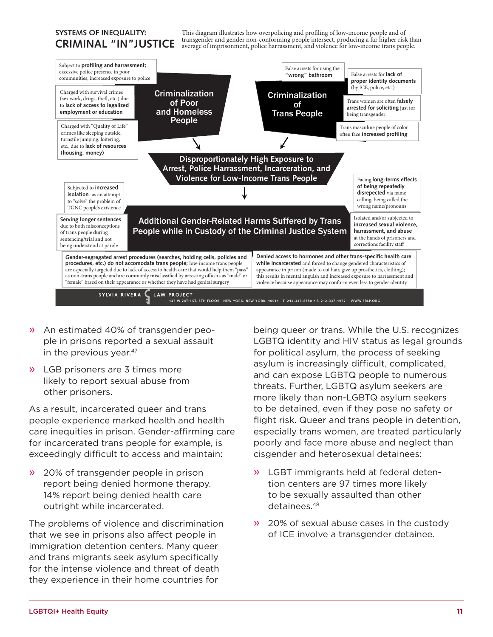#### <span id="page-10-0"></span>**SYSTEMS OF INEQUALITY: CRIMINAL "IN"JUSTICE**

This diagram illustrates how overpolicing and profiling of low-income people and of transgender and gender non-conforming people intersect, producing a far higher risk than average of imprisonment, police harrassment, and violence for low-income trans people.



- » An estimated 40% of transgender people in prisons reported a sexual assault in the previous year.<sup>[47](#page-16-0)</sup>
- » LGB prisoners are 3 times more likely to report sexual abuse from other prisoners.

As a result, incarcerated queer and trans people experience marked health and health care inequities in prison. Gender-affirming care for incarcerated trans people for example, is exceedingly difficult to access and maintain:

» 20% of transgender people in prison report being denied hormone therapy. 14% report being denied health care outright while incarcerated.

The problems of violence and discrimination that we see in prisons also affect people in immigration detention centers. Many queer and trans migrants seek asylum specifically for the intense violence and threat of death they experience in their home countries for

being queer or trans. While the U.S. recognizes LGBTQ identity and HIV status as legal grounds for political asylum, the process of seeking asylum is increasingly difficult, complicated, and can expose LGBTQ people to numerous threats. Further, LGBTQ asylum seekers are more likely than non-LGBTQ asylum seekers to be detained, even if they pose no safety or flight risk. Queer and trans people in detention, especially trans women, are treated particularly poorly and face more abuse and neglect than cisgender and heterosexual detainees:

- » LGBT immigrants held at federal detention centers are 97 times more likely to be sexually assaulted than other detainees[.48](#page-16-0)
- » 20% of sexual abuse cases in the custody of ICE involve a transgender detainee.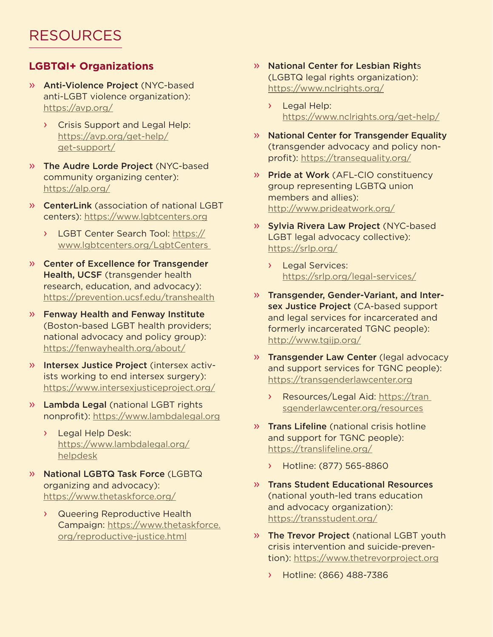# <span id="page-11-0"></span>**LGBTQI+ Organizations**

- » Anti-Violence Project (NYC-based anti-LGBT violence organization): <https://avp.org/>
	- › Crisis Support and Legal Help: [https://avp.org/get-help/](https://avp.org/get-help/get-support/) [get-support/](https://avp.org/get-help/get-support/)
- » The Audre Lorde Project (NYC-based community organizing center): <https://alp.org/>
- » CenterLink (association of national LGBT centers): [https://www.lgbtcenters.org](https://www.lgbtcenters.org/)
	- › LGBT Center Search Tool: [https://](https://www.lgbtcenters.org/LgbtCenters) [www.lgbtcenters.org/LgbtCenters](https://www.lgbtcenters.org/LgbtCenters)
- » Center of Excellence for Transgender Health, UCSF (transgender health research, education, and advocacy): <https://prevention.ucsf.edu/transhealth>
- » Fenway Health and Fenway Institute (Boston-based LGBT health providers; national advocacy and policy group): <https://fenwayhealth.org/about/>
- » Intersex Justice Project (intersex activists working to end intersex surgery): <https://www.intersexjusticeproject.org/>
- » Lambda Legal (national LGBT rights nonprofit): [https://www.lambdalegal.org](https://www.lambdalegal.org/)
	- Legal Help Desk: [https://www.lambdalegal.org/](https://www.lambdalegal.org/helpdesk) [helpdesk](https://www.lambdalegal.org/helpdesk)
- » National LGBTQ Task Force (LGBTQ organizing and advocacy): <https://www.thetaskforce.org/>
	- › Queering Reproductive Health Campaign: [https://www.thetaskforce.](https://www.thetaskforce.org/reproductive-justice.html) [org/reproductive-justice.html](https://www.thetaskforce.org/reproductive-justice.html)
- » National Center for Lesbian Rights (LGBTQ legal rights organization): <https://www.nclrights.org/>
	- › Legal Help: <https://www.nclrights.org/get-help/>
- » National Center for Transgender Equality (transgender advocacy and policy nonprofit): <https://transequality.org/>
- » Pride at Work (AFL-CIO constituency group representing LGBTQ union members and allies): <http://www.prideatwork.org/>
- » Sylvia Rivera Law Project (NYC-based LGBT legal advocacy collective): <https://srlp.org/>
	- › Legal Services: <https://srlp.org/legal-services/>
- » Transgender, Gender-Variant, and Intersex Justice Project (CA-based support and legal services for incarcerated and formerly incarcerated TGNC people): <http://www.tgijp.org/>
- » Transgender Law Center (legal advocacy and support services for TGNC people): [https://transgenderlawcenter.org](https://transgenderlawcenter.org/)
	- › Resources/Legal Aid: [https://tran](https://transgenderlawcenter.org/resources)  [sgenderlawcenter.org/resources](https://transgenderlawcenter.org/resources)
- » Trans Lifeline (national crisis hotline and support for TGNC people): <https://translifeline.org/>
	- › Hotline: (877) 565-8860
- » Trans Student Educational Resources (national youth-led trans education and advocacy organization): <https://transstudent.org/>
- » The Trevor Project (national LGBT youth crisis intervention and suicide-prevention):<https://www.thetrevorproject.org>
	- › Hotline: (866) 488-7386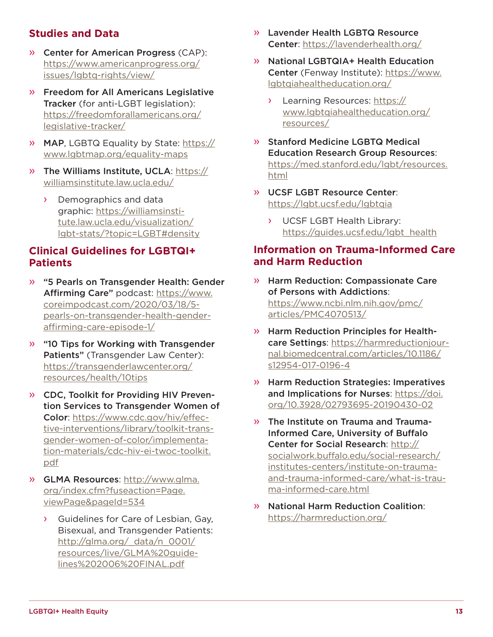# **Studies and Data**

- » Center for American Progress (CAP): [https://www.americanprogress.org/](https://www.americanprogress.org/issues/lgbtq-rights/view/) [issues/lgbtq-rights/view/](https://www.americanprogress.org/issues/lgbtq-rights/view/)
- » Freedom for All Americans Legislative Tracker (for anti-LGBT legislation); [https://freedomforallamericans.org/](https://freedomforallamericans.org/legislative-tracker/) [legislative-tracker/](https://freedomforallamericans.org/legislative-tracker/)
- » MAP, LGBTQ Equality by State: [https://](https://www.lgbtmap.org/equality-maps) [www.lgbtmap.org/equality-maps](https://www.lgbtmap.org/equality-maps)
- » The Williams Institute, UCLA: [https://](https://williamsinstitute.law.ucla.edu/) [williamsinstitute.law.ucla.edu/](https://williamsinstitute.law.ucla.edu/)
	- › Demographics and data graphic: https://williamsinstitute.law.ucla.edu/visualization/ lgbt-stats/?topic=LGBT#density

## **Clinical Guidelines for LGBTQI+ Patients**

- » "5 Pearls on Transgender Health: Gender Affirming Care" podcast: [https://www.](https://www.coreimpodcast.com/2020/03/18/5-pearls-on-transgender-health-gender-affirming-care-episode-1/) [coreimpodcast.com/2020/03/18/5](https://www.coreimpodcast.com/2020/03/18/5-pearls-on-transgender-health-gender-affirming-care-episode-1/) [pearls-on-transgender-health-gender](https://www.coreimpodcast.com/2020/03/18/5-pearls-on-transgender-health-gender-affirming-care-episode-1/)[affirming-care-episode-1/](https://www.coreimpodcast.com/2020/03/18/5-pearls-on-transgender-health-gender-affirming-care-episode-1/)
- » "10 Tips for Working with Transgender Patients" (Transgender Law Center): [https://transgenderlawcenter.org/](https://transgenderlawcenter.org/resources/health/10tips) [resources/health/10tips](https://transgenderlawcenter.org/resources/health/10tips)
- » CDC, Toolkit for Providing HIV Prevention Services to Transgender Women of Color: [https://www.cdc.gov/hiv/effec](https://www.cdc.gov/hiv/effective-interventions/library/toolkit-transgender-women-of-color/implementation-materials/cdc-hiv-ei-twoc-toolkit.pdf)[tive-interventions/library/toolkit-trans](https://www.cdc.gov/hiv/effective-interventions/library/toolkit-transgender-women-of-color/implementation-materials/cdc-hiv-ei-twoc-toolkit.pdf)[gender-women-of-color/implementa](https://www.cdc.gov/hiv/effective-interventions/library/toolkit-transgender-women-of-color/implementation-materials/cdc-hiv-ei-twoc-toolkit.pdf)[tion-materials/cdc-hiv-ei-twoc-toolkit.](https://www.cdc.gov/hiv/effective-interventions/library/toolkit-transgender-women-of-color/implementation-materials/cdc-hiv-ei-twoc-toolkit.pdf) [pdf](https://www.cdc.gov/hiv/effective-interventions/library/toolkit-transgender-women-of-color/implementation-materials/cdc-hiv-ei-twoc-toolkit.pdf)
- » GLMA Resources: [http://www.glma.](http://www.glma.org/index.cfm?fuseaction=Page.viewPage&pageId=534) [org/index.cfm?fuseaction=Page.](http://www.glma.org/index.cfm?fuseaction=Page.viewPage&pageId=534) [viewPage&pageId=534](http://www.glma.org/index.cfm?fuseaction=Page.viewPage&pageId=534)
	- › Guidelines for Care of Lesbian, Gay, Bisexual, and Transgender Patients: [http://glma.org/\\_data/n\\_0001/](http://glma.org/_data/n_0001/resources/live/GLMA%20guidelines%202006%20FINAL.pdf) [resources/live/GLMA%20guide](http://glma.org/_data/n_0001/resources/live/GLMA%20guidelines%202006%20FINAL.pdf)[lines%202006%20FINAL.pdf](http://glma.org/_data/n_0001/resources/live/GLMA%20guidelines%202006%20FINAL.pdf)
- » Lavender Health LGBTQ Resource Center:<https://lavenderhealth.org/>
- » National LGBTQIA+ Health Education Center (Fenway Institute): [https://www.](https://www.lgbtqiahealtheducation.org/) [lgbtqiahealtheducation.org/](https://www.lgbtqiahealtheducation.org/)
	- › Learning Resources: [https://](https://www.lgbtqiahealtheducation.org/resources/) [www.lgbtqiahealtheducation.org/](https://www.lgbtqiahealtheducation.org/resources/) [resources/](https://www.lgbtqiahealtheducation.org/resources/)
- » Stanford Medicine LGBTQ Medical Education Research Group Resources: [https://med.stanford.edu/lgbt/resources.](https://med.stanford.edu/lgbt/resources.html) [html](https://med.stanford.edu/lgbt/resources.html)
- » UCSF LGBT Resource Center: <https://lgbt.ucsf.edu/lgbtqia>
	- › UCSF LGBT Health Library: [https://guides.ucsf.edu/lgbt\\_health](https://guides.ucsf.edu/lgbt_health)

## **Information on Trauma-Informed Care and Harm Reduction**

- » Harm Reduction: Compassionate Care of Persons with Addictions: [https://www.ncbi.nlm.nih.gov/pmc/](https://www.ncbi.nlm.nih.gov/pmc/articles/PMC4070513/) [articles/PMC4070513/](https://www.ncbi.nlm.nih.gov/pmc/articles/PMC4070513/)
- » Harm Reduction Principles for Healthcare Settings: [https://harmreductionjour](https://harmreductionjournal.biomedcentral.com/articles/10.1186/s12954-017-0196-4)[nal.biomedcentral.com/articles/10.1186/](https://harmreductionjournal.biomedcentral.com/articles/10.1186/s12954-017-0196-4) [s12954-017-0196-4](https://harmreductionjournal.biomedcentral.com/articles/10.1186/s12954-017-0196-4)
- » Harm Reduction Strategies: Imperatives and Implications for Nurses: [https://doi.](https://doi.org/10.3928/02793695-20190430-02) [org/10.3928/02793695-20190430-02](https://doi.org/10.3928/02793695-20190430-02)
- » The Institute on Trauma and Trauma-Informed Care, University of Buffalo Center for Social Research: [http://](http://socialwork.buffalo.edu/social-research/institutes-centers/institute-on-trauma-and-trauma-informed-care/what-is-trauma-informed-care.html) [socialwork.buffalo.edu/social-research/](http://socialwork.buffalo.edu/social-research/institutes-centers/institute-on-trauma-and-trauma-informed-care/what-is-trauma-informed-care.html) [institutes-centers/institute-on-trauma](http://socialwork.buffalo.edu/social-research/institutes-centers/institute-on-trauma-and-trauma-informed-care/what-is-trauma-informed-care.html)[and-trauma-informed-care/what-is-trau](http://socialwork.buffalo.edu/social-research/institutes-centers/institute-on-trauma-and-trauma-informed-care/what-is-trauma-informed-care.html)[ma-informed-care.html](http://socialwork.buffalo.edu/social-research/institutes-centers/institute-on-trauma-and-trauma-informed-care/what-is-trauma-informed-care.html)
- » National Harm Reduction Coalition: <https://harmreduction.org/>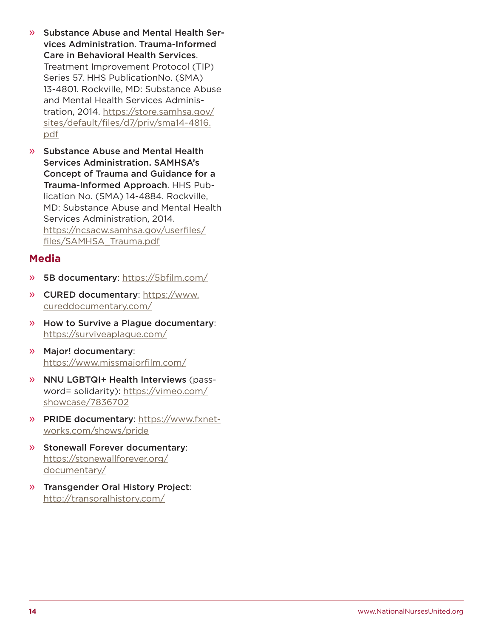- » Substance Abuse and Mental Health Services Administration. Trauma-Informed Care in Behavioral Health Services. Treatment Improvement Protocol (TIP) Series 57. HHS PublicationNo. (SMA) 13-4801. Rockville, MD: Substance Abuse and Mental Health Services Administration, 2014. [https://store.samhsa.gov/](https://store.samhsa.gov/sites/default/files/d7/priv/sma14-4816.pdf) [sites/default/files/d7/priv/sma14-4816.](https://store.samhsa.gov/sites/default/files/d7/priv/sma14-4816.pdf) [pdf](https://store.samhsa.gov/sites/default/files/d7/priv/sma14-4816.pdf)
- » Substance Abuse and Mental Health Services Administration. SAMHSA's Concept of Trauma and Guidance for a Trauma-Informed Approach. HHS Publication No. (SMA) 14-4884. Rockville, MD: Substance Abuse and Mental Health Services Administration, 2014. [https://ncsacw.samhsa.gov/userfiles/](https://ncsacw.samhsa.gov/userfiles/files/SAMHSA_Trauma.pdf) [files/SAMHSA\\_Trauma.pdf](https://ncsacw.samhsa.gov/userfiles/files/SAMHSA_Trauma.pdf)

## **Media**

- » 5B documentary: <https://5bfilm.com/>
- » CURED documentary: [https://www.](https://www.cureddocumentary.com/) [cureddocumentary.com/](https://www.cureddocumentary.com/)
- » How to Survive a Plague documentary: <https://surviveaplague.com/>
- » Major! documentary: <https://www.missmajorfilm.com/>
- » NNU LGBTQI+ Health Interviews (password= solidarity): [https://vimeo.com/](https://vimeo.com/showcase/7836702) [showcase/7836702](https://vimeo.com/showcase/7836702)
- » PRIDE documentary: [https://www.fxnet](https://www.fxnetworks.com/shows/pride)[works.com/shows/pride](https://www.fxnetworks.com/shows/pride)
- » Stonewall Forever documentary: [https://stonewallforever.org/](https://stonewallforever.org/documentary/) [documentary/](https://stonewallforever.org/documentary/)
- » Transgender Oral History Project: <http://transoralhistory.com/>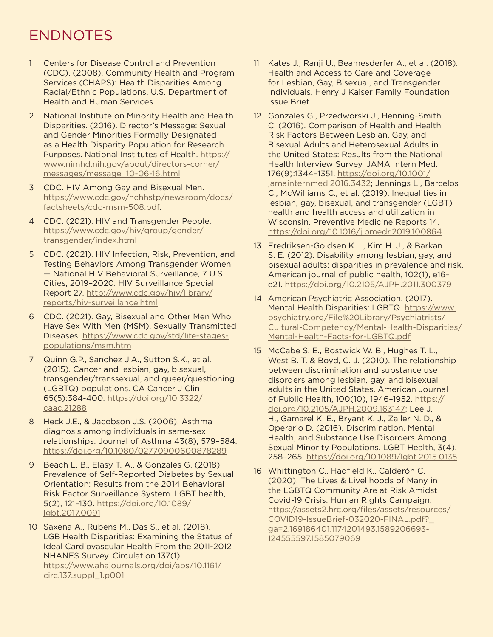# <span id="page-14-0"></span>ENDNOTES

- [1](#page-5-0) Centers for Disease Control and Prevention (CDC). (2008). Community Health and Program Services (CHAPS): Health Disparities Among Racial/Ethnic Populations. U.S. Department of Health and Human Services.
- [2](#page-5-0) National Institute on Minority Health and Health Disparities. (2016). Director's Message: Sexual and Gender Minorities Formally Designated as a Health Disparity Population for Research Purposes. National Institutes of Health. [https://](https://www.nimhd.nih.gov/about/directors-corner/messages/message_10-06-16.html) [www.nimhd.nih.gov/about/directors-corner/](https://www.nimhd.nih.gov/about/directors-corner/messages/message_10-06-16.html) [messages/message\\_10-06-16.html](https://www.nimhd.nih.gov/about/directors-corner/messages/message_10-06-16.html)
- [3](#page-5-0) CDC. HIV Among Gay and Bisexual Men. [https://www.cdc.gov/nchhstp/newsroom/docs/](https://www.cdc.gov/nchhstp/newsroom/docs/factsheets/cdc-msm-508.pdf) [factsheets/cdc-msm-508.pdf.](https://www.cdc.gov/nchhstp/newsroom/docs/factsheets/cdc-msm-508.pdf)
- [4](#page-5-0) CDC. (2021). HIV and Transgender People. [https://www.cdc.gov/hiv/group/gender/](https://www.cdc.gov/hiv/group/gender/transgender/index.html) [transgender/index.html](https://www.cdc.gov/hiv/group/gender/transgender/index.html)
- [5](#page-5-0) CDC. (2021). HIV Infection, Risk, Prevention, and Testing Behaviors Among Transgender Women — National HIV Behavioral Surveillance, 7 U.S. Cities, 2019–2020. HIV Surveillance Special Report 27. [http://www.cdc.gov/hiv/library/](http://www.cdc.gov/hiv/library/reports/hiv-surveillance.html) [reports/hiv-surveillance.html](http://www.cdc.gov/hiv/library/reports/hiv-surveillance.html)
- [6](#page-5-0) CDC. (2021). Gay, Bisexual and Other Men Who Have Sex With Men (MSM). Sexually Transmitted Diseases. [https://www.cdc.gov/std/life-stages](https://www.cdc.gov/std/life-stages-populations/msm.htm)[populations/msm.htm](https://www.cdc.gov/std/life-stages-populations/msm.htm)
- [7](#page-5-0) Quinn G.P., Sanchez J.A., Sutton S.K., et al. (2015). Cancer and lesbian, gay, bisexual, transgender/transsexual, and queer/questioning (LGBTQ) populations. CA Cancer J Clin 65(5):384-400. [https://doi.org/10.3322/](https://doi.org/10.3322/caac.21288) [caac.21288](https://doi.org/10.3322/caac.21288)
- [8](#page-5-0) Heck J.E., & Jacobson J.S. (2006). Asthma diagnosis among individuals in same-sex relationships. Journal of Asthma 43(8), 579–584. <https://doi.org/10.1080/02770900600878289>
- [9](#page-5-0) Beach L. B., Elasy T. A., & Gonzales G. (2018). Prevalence of Self-Reported Diabetes by Sexual Orientation: Results from the 2014 Behavioral Risk Factor Surveillance System. LGBT health, 5(2), 121–130. [https://doi.org/10.1089/](https://doi.org/10.1089/lgbt.2017.0091) [lgbt.2017.0091](https://doi.org/10.1089/lgbt.2017.0091)
- [10](#page-5-0) Saxena A., Rubens M., Das S., et al. (2018). LGB Health Disparities: Examining the Status of Ideal Cardiovascular Health From the 2011-2012 NHANES Survey. Circulation 137(1). [https://www.ahajournals.org/doi/abs/10.1161/](https://www.ahajournals.org/doi/abs/10.1161/circ.137.suppl_1.p001) [circ.137.suppl\\_1.p001](https://www.ahajournals.org/doi/abs/10.1161/circ.137.suppl_1.p001)
- [11](#page-5-0) Kates J., Ranji U., Beamesderfer A., et al. (2018). Health and Access to Care and Coverage for Lesbian, Gay, Bisexual, and Transgender Individuals. Henry J Kaiser Family Foundation Issue Brief.
- [12](#page-5-0) Gonzales G., Przedworski J., Henning-Smith C. (2016). Comparison of Health and Health Risk Factors Between Lesbian, Gay, and Bisexual Adults and Heterosexual Adults in the United States: Results from the National Health Interview Survey. JAMA Intern Med. 176(9):1344–1351. [https://doi.org/10.1001/](https://doi.org/10.1001/jamainternmed.2016.3432) [jamainternmed.2016.3432;](https://doi.org/10.1001/jamainternmed.2016.3432) Jennings L., Barcelos C., McWilliams C., et al. (2019). Inequalities in lesbian, gay, bisexual, and transgender (LGBT) health and health access and utilization in Wisconsin. Preventive Medicine Reports 14. <https://doi.org/10.1016/j.pmedr.2019.100864>
- [13](#page-5-0) Fredriksen-Goldsen K. I., Kim H. J., & Barkan S. E. (2012). Disability among lesbian, gay, and bisexual adults: disparities in prevalence and risk. American journal of public health, 102(1), e16– e21. <https://doi.org/10.2105/AJPH.2011.300379>
- [14](#page-6-0) American Psychiatric Association. (2017). Mental Health Disparities: LGBTQ. [https://www.](https://www.psychiatry.org/File%20Library/Psychiatrists/Cultural-Competency/Mental-Health-Disparities/Mental-Health-Facts-for-LGBTQ.pdf) [psychiatry.org/File%20Library/Psychiatrists/](https://www.psychiatry.org/File%20Library/Psychiatrists/Cultural-Competency/Mental-Health-Disparities/Mental-Health-Facts-for-LGBTQ.pdf) [Cultural-Competency/Mental-Health-Disparities/](https://www.psychiatry.org/File%20Library/Psychiatrists/Cultural-Competency/Mental-Health-Disparities/Mental-Health-Facts-for-LGBTQ.pdf) [Mental-Health-Facts-for-LGBTQ.pdf](https://www.psychiatry.org/File%20Library/Psychiatrists/Cultural-Competency/Mental-Health-Disparities/Mental-Health-Facts-for-LGBTQ.pdf)
- [15](#page-6-0) McCabe S. E., Bostwick W. B., Hughes T. L., West B. T. & Boyd, C. J. (2010). The relationship between discrimination and substance use disorders among lesbian, gay, and bisexual adults in the United States. American Journal of Public Health, 100(10), 1946–1952. [https://](https://doi.org/10.2105/AJPH.2009.163147) [doi.org/10.2105/AJPH.2009.163147](https://doi.org/10.2105/AJPH.2009.163147); Lee J. H., Gamarel K. E., Bryant K. J., Zaller N. D., & Operario D. (2016). Discrimination, Mental Health, and Substance Use Disorders Among Sexual Minority Populations. LGBT Health, 3(4), 258–265. <https://doi.org/10.1089/lgbt.2015.0135>
- [16](#page-6-0) Whittington C., Hadfield K., Calderón C. (2020). The Lives & Livelihoods of Many in the LGBTQ Community Are at Risk Amidst Covid-19 Crisis. Human Rights Campaign. [https://assets2.hrc.org/files/assets/resources/](https://assets2.hrc.org/files/assets/resources/COVID19-IssueBrief-032020-FINAL.pdf?_ga=2.169186401.1174201493.1589206693-124555597.1585079069) [COVID19-IssueBrief-032020-FINAL.pdf?\\_](https://assets2.hrc.org/files/assets/resources/COVID19-IssueBrief-032020-FINAL.pdf?_ga=2.169186401.1174201493.1589206693-124555597.1585079069) [ga=2.169186401.1174201493.1589206693-](https://assets2.hrc.org/files/assets/resources/COVID19-IssueBrief-032020-FINAL.pdf?_ga=2.169186401.1174201493.1589206693-124555597.1585079069) [124555597.1585079069](https://assets2.hrc.org/files/assets/resources/COVID19-IssueBrief-032020-FINAL.pdf?_ga=2.169186401.1174201493.1589206693-124555597.1585079069)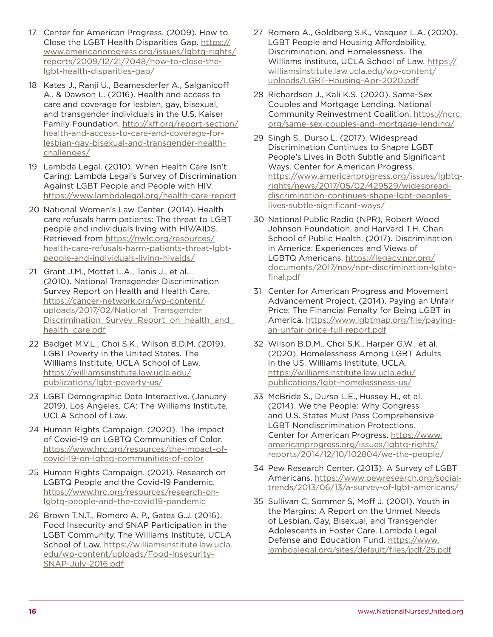- <span id="page-15-0"></span>[17](#page-6-0) Center for American Progress. (2009). How to Close the LGBT Health Disparities Gap. [https://](https://www.americanprogress.org/issues/lgbtq-rights/reports/2009/12/21/7048/how-to-close-the-lgbt-health-disparities-gap/) [www.americanprogress.org/issues/lgbtq-rights/](https://www.americanprogress.org/issues/lgbtq-rights/reports/2009/12/21/7048/how-to-close-the-lgbt-health-disparities-gap/) [reports/2009/12/21/7048/how-to-close-the](https://www.americanprogress.org/issues/lgbtq-rights/reports/2009/12/21/7048/how-to-close-the-lgbt-health-disparities-gap/)[lgbt-health-disparities-gap/](https://www.americanprogress.org/issues/lgbtq-rights/reports/2009/12/21/7048/how-to-close-the-lgbt-health-disparities-gap/)
- [18](#page-7-0) Kates J., Ranji U., Beamesderfer A., Salganicoff A., & Dawson L. (2016). Health and access to care and coverage for lesbian, gay, bisexual, and transgender individuals in the U.S. Kaiser Family Foundation. [http://kff.org/report-section/](http://kff.org/report-section/health-and-access-to-care-and-coverage-for-lesbian-gay-bisexual-and-transgender-health-challenges/) [health-and-access-to-care-and-coverage-for](http://kff.org/report-section/health-and-access-to-care-and-coverage-for-lesbian-gay-bisexual-and-transgender-health-challenges/)[lesbian-gay-bisexual-and-transgender-health](http://kff.org/report-section/health-and-access-to-care-and-coverage-for-lesbian-gay-bisexual-and-transgender-health-challenges/)[challenges/](http://kff.org/report-section/health-and-access-to-care-and-coverage-for-lesbian-gay-bisexual-and-transgender-health-challenges/)
- [19](#page-7-0) Lambda Legal. (2010). When Health Care Isn't Caring: Lambda Legal's Survey of Discrimination Against LGBT People and People with HIV. <https://www.lambdalegal.org/health-care-report>
- [20](#page-7-0) National Women's Law Center. (2014). Health care refusals harm patients: The threat to LGBT people and individuals living with HIV/AIDS. Retrieved from [https://nwlc.org/resources/](https://nwlc.org/resources/health-care-refusals-harm-patients-threat-lgbt-people-and-individuals-living-hivaids/) [health-care-refusals-harm-patients-threat-lgbt](https://nwlc.org/resources/health-care-refusals-harm-patients-threat-lgbt-people-and-individuals-living-hivaids/)[people-and-individuals-living-hivaids/](https://nwlc.org/resources/health-care-refusals-harm-patients-threat-lgbt-people-and-individuals-living-hivaids/)
- [21](#page-7-0) Grant J.M., Mottet L.A., Tanis J., et al. (2010). National Transgender Discrimination Survey Report on Health and Health Care. [https://cancer-network.org/wp-content/](https://cancer-network.org/wp-content/uploads/2017/02/National_Transgender_Discrimination_Survey_Report_on_health_and_health_care.pdf) uploads/2017/02/National\_Transgender Discrimination Survey Report on health and [health\\_care.pdf](https://cancer-network.org/wp-content/uploads/2017/02/National_Transgender_Discrimination_Survey_Report_on_health_and_health_care.pdf)
- [22](#page-7-0) Badget M.V.L., Choi S.K., Wilson B.D.M. (2019). LGBT Poverty in the United States. The Williams Institute, UCLA School of Law. [https://williamsinstitute.law.ucla.edu/](https://williamsinstitute.law.ucla.edu/publications/lgbt-poverty-us/) [publications/lgbt-poverty-us/](https://williamsinstitute.law.ucla.edu/publications/lgbt-poverty-us/)
- [23](#page-7-0) LGBT Demographic Data Interactive. (January 2019). Los Angeles, CA: The Williams Institute, UCLA School of Law.
- [24](#page-7-0) Human Rights Campaign. (2020). The Impact of Covid-19 on LGBTQ Communities of Color. [https://www.hrc.org/resources/the-impact-of](https://www.hrc.org/resources/the-impact-of-covid-19-on-lgbtq-communities-of-color)[covid-19-on-lgbtq-communities-of-color](https://www.hrc.org/resources/the-impact-of-covid-19-on-lgbtq-communities-of-color)
- [25](#page-7-0) Human Rights Campaign. (2021). Research on LGBTQ People and the Covid-19 Pandemic. [https://www.hrc.org/resources/research-on](https://www.hrc.org/resources/research-on-lgbtq-people-and-the-covid19-pandemic)[lgbtq-people-and-the-covid19-pandemic](https://www.hrc.org/resources/research-on-lgbtq-people-and-the-covid19-pandemic)
- [26](#page-8-0) Brown T.N.T., Romero A. P., Gates G.J. (2016). Food Insecurity and SNAP Participation in the LGBT Community. The Williams Institute, UCLA School of Law. [https://williamsinstitute.law.ucla.](https://williamsinstitute.law.ucla.edu/wp-content/uploads/Food-Insecurity-SNAP-July-2016.pdf) [edu/wp-content/uploads/Food-Insecurity-](https://williamsinstitute.law.ucla.edu/wp-content/uploads/Food-Insecurity-SNAP-July-2016.pdf)[SNAP-July-2016.pdf](https://williamsinstitute.law.ucla.edu/wp-content/uploads/Food-Insecurity-SNAP-July-2016.pdf)
- [27](#page-8-0) Romero A., Goldberg S.K., Vasquez L.A. (2020). LGBT People and Housing Affordability, Discrimination, and Homelessness. The Williams Institute, UCLA School of Law. [https://](https://williamsinstitute.law.ucla.edu/wp-content/uploads/LGBT-Housing-Apr-2020.pdf) [williamsinstitute.law.ucla.edu/wp-content/](https://williamsinstitute.law.ucla.edu/wp-content/uploads/LGBT-Housing-Apr-2020.pdf) [uploads/LGBT-Housing-Apr-2020.pdf](https://williamsinstitute.law.ucla.edu/wp-content/uploads/LGBT-Housing-Apr-2020.pdf)
- [28](#page-8-0) Richardson J., Kali K.S. (2020). Same-Sex Couples and Mortgage Lending. National Community Reinvestment Coalition. [https://ncrc.](https://ncrc.org/same-sex-couples-and-mortgage-lending/) [org/same-sex-couples-and-mortgage-lending/](https://ncrc.org/same-sex-couples-and-mortgage-lending/)
- [29](#page-8-0) Singh S., Durso L. (2017). Widespread Discrimination Continues to Shapre LGBT People's Lives in Both Subtle and Significant Ways. Center for American Progress. [https://www.americanprogress.org/issues/lgbtq](https://www.americanprogress.org/issues/lgbtq-rights/news/2017/05/02/429529/widespread-discrimination-continues-shape-lgbt-peoples-lives-subtle-significant-ways/)[rights/news/2017/05/02/429529/widespread](https://www.americanprogress.org/issues/lgbtq-rights/news/2017/05/02/429529/widespread-discrimination-continues-shape-lgbt-peoples-lives-subtle-significant-ways/)[discrimination-continues-shape-lgbt-peoples](https://www.americanprogress.org/issues/lgbtq-rights/news/2017/05/02/429529/widespread-discrimination-continues-shape-lgbt-peoples-lives-subtle-significant-ways/)[lives-subtle-significant-ways/](https://www.americanprogress.org/issues/lgbtq-rights/news/2017/05/02/429529/widespread-discrimination-continues-shape-lgbt-peoples-lives-subtle-significant-ways/)
- [30](#page-8-0) National Public Radio (NPR), Robert Wood Johnson Foundation, and Harvard T.H. Chan School of Public Health. (2017). Discrimination in America: Experiences and Views of LGBTQ Americans. [https://legacy.npr.org/](https://legacy.npr.org/documents/2017/nov/npr-discrimination-lgbtq-final.pdf) [documents/2017/nov/npr-discrimination-lgbtq](https://legacy.npr.org/documents/2017/nov/npr-discrimination-lgbtq-final.pdf)[final.pdf](https://legacy.npr.org/documents/2017/nov/npr-discrimination-lgbtq-final.pdf)
- [31](#page-8-0) Center for American Progress and Movement Advancement Project. (2014). Paying an Unfair Price: The Financial Penalty for Being LGBT in America. [https://www.lgbtmap.org/file/paying](https://www.lgbtmap.org/file/paying-an-unfair-price-full-report.pdf)[an-unfair-price-full-report.pdf](https://www.lgbtmap.org/file/paying-an-unfair-price-full-report.pdf)
- [32](#page-8-0) Wilson B.D.M., Choi S.K., Harper G.W., et al. (2020). Homelessness Among LGBT Adults in the US. Williams Institute, UCLA. [https://williamsinstitute.law.ucla.edu/](https://williamsinstitute.law.ucla.edu/publications/lgbt-homelessness-us/) [publications/lgbt-homelessness-us/](https://williamsinstitute.law.ucla.edu/publications/lgbt-homelessness-us/)
- [33](#page-8-0) McBride S., Durso L.E., Hussey H., et al. (2014). We the People: Why Congress and U.S. States Must Pass Comprehensive LGBT Nondiscrimination Protections. Center for American Progress. [https://www.](https://www.americanprogress.org/issues/lgbtq-rights/reports/2014/12/10/102804/we-the-people/) [americanprogress.org/issues/lgbtq-rights/](https://www.americanprogress.org/issues/lgbtq-rights/reports/2014/12/10/102804/we-the-people/) [reports/2014/12/10/102804/we-the-people/](https://www.americanprogress.org/issues/lgbtq-rights/reports/2014/12/10/102804/we-the-people/)
- [34](#page-8-0) Pew Research Center. (2013). A Survey of LGBT Americans. [https://www.pewresearch.org/social](https://www.pewresearch.org/social-trends/2013/06/13/a-survey-of-lgbt-americans/)[trends/2013/06/13/a-survey-of-lgbt-americans/](https://www.pewresearch.org/social-trends/2013/06/13/a-survey-of-lgbt-americans/)
- [35](#page-9-0) Sullivan C, Sommer S, Moff J. (2001). Youth in the Margins: A Report on the Unmet Needs of Lesbian, Gay, Bisexual, and Transgender Adolescents in Foster Care. Lambda Legal Defense and Education Fund. [https://www.](https://www.lambdalegal.org/sites/default/files/pdf/25.pdf) [lambdalegal.org/sites/default/files/pdf/25.pdf](https://www.lambdalegal.org/sites/default/files/pdf/25.pdf)